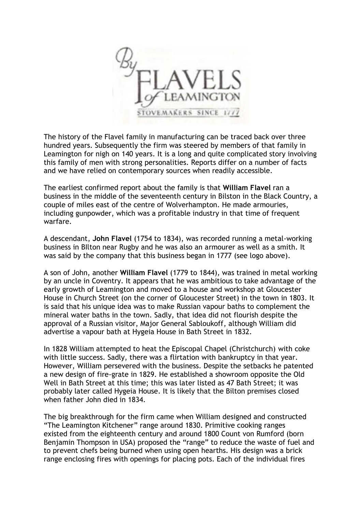

The history of the Flavel family in manufacturing can be traced back over three hundred years. Subsequently the firm was steered by members of that family in Leamington for nigh on 140 years. It is a long and quite complicated story involving this family of men with strong personalities. Reports differ on a number of facts and we have relied on contemporary sources when readily accessible.

The earliest confirmed report about the family is that **William Flavel** ran a business in the middle of the seventeenth century in Bilston in the Black Country, a couple of miles east of the centre of Wolverhampton. He made armouries, including gunpowder, which was a profitable industry in that time of frequent warfare.

A descendant, **John Flavel** (1754 to 1834), was recorded running a metal-working business in BIlton near Rugby and he was also an armourer as well as a smith. It was said by the company that this business began in 1777 (see logo above).

A son of John, another **William Flavel** (1779 to 1844), was trained in metal working by an uncle in Coventry. It appears that he was ambitious to take advantage of the early growth of Leamington and moved to a house and workshop at Gloucester House in Church Street (on the corner of Gloucester Street) in the town in 1803. It is said that his unique idea was to make Russian vapour baths to complement the mineral water baths in the town. Sadly, that idea did not flourish despite the approval of a Russian visitor, Major General Sabloukoff, although William did advertise a vapour bath at Hygeia House in Bath Street in 1832.

In 1828 William attempted to heat the Episcopal Chapel (Christchurch) with coke with little success. Sadly, there was a flirtation with bankruptcy in that year. However, William persevered with the business. Despite the setbacks he patented a new design of fire-grate in 1829. He established a showroom opposite the Old Well in Bath Street at this time; this was later listed as 47 Bath Street; it was probably later called Hygeia House. It is likely that the Bilton premises closed when father John died in 1834.

The big breakthrough for the firm came when William designed and constructed "The Leamington Kitchener" range around 1830. Primitive cooking ranges existed from the eighteenth century and around 1800 Count von Rumford (born Benjamin Thompson in USA) proposed the "range" to reduce the waste of fuel and to prevent chefs being burned when using open hearths. His design was a brick range enclosing fires with openings for placing pots. Each of the individual fires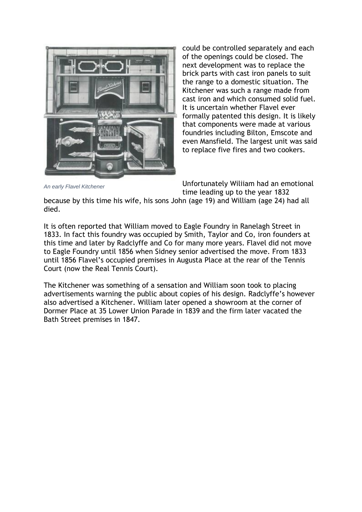

could be controlled separately and each of the openings could be closed. The next development was to replace the brick parts with cast iron panels to suit the range to a domestic situation. The Kitchener was such a range made from cast iron and which consumed solid fuel. It is uncertain whether Flavel ever formally patented this design. It is likely that components were made at various foundries including Bilton, Emscote and even Mansfield. The largest unit was said to replace five fires and two cookers.

*An early Flavel Kitchener*

Unfortunately Wiliiam had an emotional time leading up to the year 1832

because by this time his wife, his sons John (age 19) and William (age 24) had all died.

It is often reported that William moved to Eagle Foundry in Ranelagh Street in 1833. In fact this foundry was occupied by Smith, Taylor and Co, iron founders at this time and later by Radclyffe and Co for many more years. Flavel did not move to Eagle Foundry until 1856 when Sidney senior advertised the move. From 1833 until 1856 Flavel's occupied premises in Augusta Place at the rear of the Tennis Court (now the Real Tennis Court).

The Kitchener was something of a sensation and William soon took to placing advertisements warning the public about copies of his design. Radclyffe's however also advertised a Kitchener. William later opened a showroom at the corner of Dormer Place at 35 Lower Union Parade in 1839 and the firm later vacated the Bath Street premises in 1847.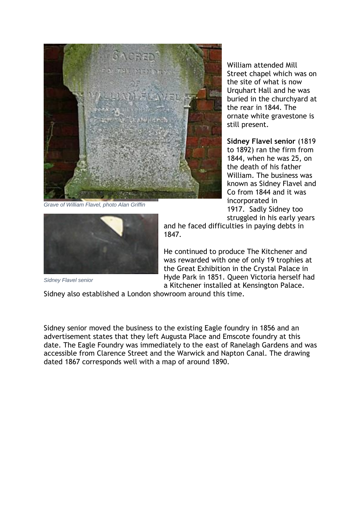*[Grave of William Flavel, photo Alan Griffin](http://www.leamingtonhistory.co.uk/wp-content/uploads/2015/04/Flavel-S-Senr-02.jpg)*

William attended Mill Street chapel which was on the site of what is now Urquhart Hall and he was buried in the churchyard at the rear in 1844. The ornate white gravestone is still present.

**Sidney Flavel senior** (1819 to 1892) ran the firm from 1844, when he was 25, on the death of his father William. The business was known as Sidney Flavel and Co from 1844 and it was incorporated in 1917. Sadly Sidney too struggled in his early years



and he faced difficulties in paying debts in 1847.

He continued to produce The Kitchener and was rewarded with one of only 19 trophies at the Great Exhibition in the Crystal Palace in Hyde Park in 1851. Queen Victoria herself had a Kitchener installed at Kensington Palace.

*Sidney Flavel senior*

Sidney also established a London showroom around this time.

Sidney senior moved the business to the existing Eagle foundry in 1856 and an advertisement states that they left Augusta Place and Emscote foundry at this date. The Eagle Foundry was immediately to the east of Ranelagh Gardens and was accessible from Clarence Street and the Warwick and Napton Canal. The drawing dated 1867 corresponds well with a map of around 1890.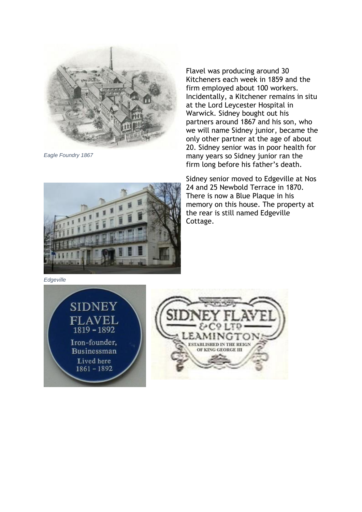

*Eagle Foundry 1867*

Flavel was producing around 30 Kitcheners each week in 1859 and the firm employed about 100 workers. Incidentally, a Kitchener remains in situ at the Lord Leycester Hospital in Warwick. Sidney bought out his partners around 1867 and his son, who we will name Sidney junior, became the only other partner at the age of about 20. Sidney senior was in poor health for many years so Sidney junior ran the firm long before his father's death.

Sidney senior moved to Edgeville at Nos 24 and 25 Newbold Terrace in 1870. There is now a Blue Plaque in his memory on this house. The property at the rear is still named Edgeville Cottage.

*Edgeville*



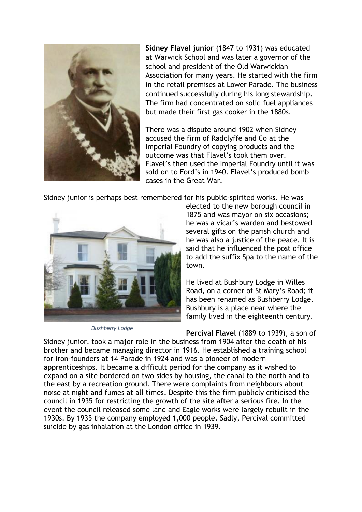

**Sidney Flavel junior** (1847 to 1931) was educated at Warwick School and was later a governor of the school and president of the Old Warwickian Association for many years. He started with the firm in the retail premises at Lower Parade. The business continued successfully during his long stewardship. The firm had concentrated on solid fuel appliances but made their first gas cooker in the 1880s.

There was a dispute around 1902 when Sidney accused the firm of Radclyffe and Co at the Imperial Foundry of copying products and the outcome was that Flavel's took them over. Flavel's then used the Imperial Foundry until it was sold on to Ford's in 1940. Flavel's produced bomb cases in the Great War.

Sidney junior is perhaps best remembered for his public-spirited works. He was



*Bushberry Lodge*

elected to the new borough council in 1875 and was mayor on six occasions; he was a vicar's warden and bestowed several gifts on the parish church and he was also a justice of the peace. It is said that he influenced the post office to add the suffix Spa to the name of the town.

He lived at Bushbury Lodge in Willes Road, on a corner of St Mary's Road; it has been renamed as Bushberry Lodge. Bushbury is a place near where the family lived in the eighteenth century.

**Percival Flavel** (1889 to 1939), a son of Sidney junior, took a major role in the business from 1904 after the death of his brother and became managing director in 1916. He established a training school for iron-founders at 14 Parade in 1924 and was a pioneer of modern apprenticeships. It became a difficult period for the company as it wished to expand on a site bordered on two sides by housing, the canal to the north and to the east by a recreation ground. There were complaints from neighbours about noise at night and fumes at all times. Despite this the firm publicly criticised the council in 1935 for restricting the growth of the site after a serious fire. In the event the council released some land and Eagle works were largely rebuilt in the 1930s. By 1935 the company employed 1,000 people. Sadly, Percival committed suicide by gas inhalation at the London office in 1939.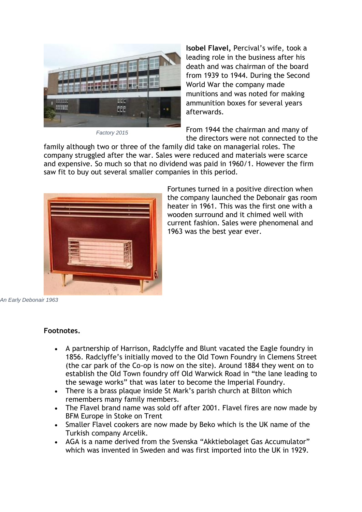

*Factory 2015*

**Isobel Flavel,** Percival's wife, took a leading role in the business after his death and was chairman of the board from 1939 to 1944. During the Second World War the company made munitions and was noted for making ammunition boxes for several years afterwards.

From 1944 the chairman and many of the directors were not connected to the

family although two or three of the family did take on managerial roles. The company struggled after the war. Sales were reduced and materials were scarce and expensive. So much so that no dividend was paid in 1960/1. However the firm saw fit to buy out several smaller companies in this period.



Fortunes turned in a positive direction when the company launched the Debonair gas room heater in 1961. This was the first one with a wooden surround and it chimed well with current fashion. Sales were phenomenal and 1963 was the best year ever.

*An Early Debonair 1963*

## **Footnotes.**

- A partnership of Harrison, Radclyffe and Blunt vacated the Eagle foundry in 1856. Radclyffe's initially moved to the Old Town Foundry in Clemens Street (the car park of the Co-op is now on the site). Around 1884 they went on to establish the Old Town foundry off Old Warwick Road in "the lane leading to the sewage works" that was later to become the Imperial Foundry.
- There is a brass plaque inside St Mark's parish church at Bilton which remembers many family members.
- The Flavel brand name was sold off after 2001. Flavel fires are now made by BFM Europe in Stoke on Trent
- Smaller Flavel cookers are now made by Beko which is the UK name of the Turkish company Arcelik.
- AGA is a name derived from the Svenska "Akktiebolaget Gas Accumulator" which was invented in Sweden and was first imported into the UK in 1929.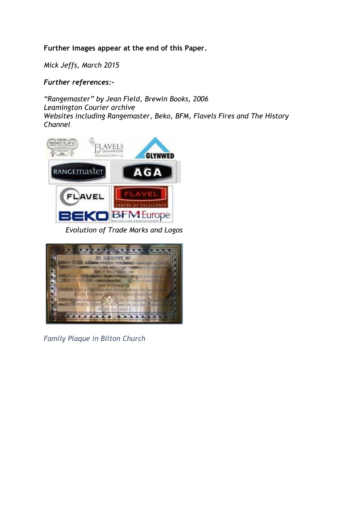## **Further images appear at the end of this Paper.**

*Mick Jeffs, March 2015*

*Further references:-*

*"Rangemaster" by Jean Field, Brewin Books, 2006 Leamington Courier archive Websites including Rangemaster, Beko, BFM, Flavels Fires and The History Channel*



*Evolution of Trade Marks and Logos*



*Family Plaque in Bilton Church*